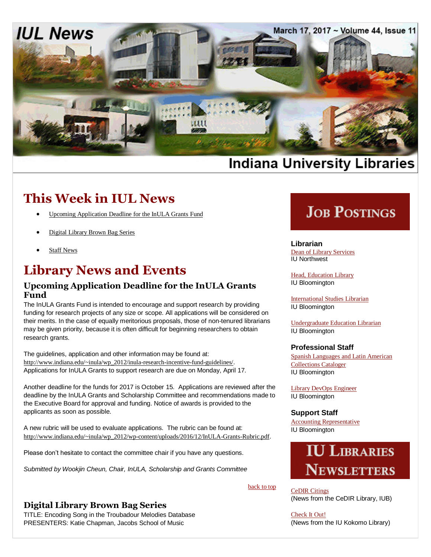

# **Indiana University Libraries**

# **This Week in IUL News**

- [Upcoming Application Deadline for the InULA Grants Fund](#page-0-0)
- [Digital Library Brown Bag Series](#page-0-1)
- [Staff News](#page-1-0)

# **Library News and Events**

## <span id="page-0-0"></span>**Upcoming Application Deadline for the InULA Grants Fund**

The InULA Grants Fund is intended to encourage and support research by providing funding for research projects of any size or scope. All applications will be considered on their merits. In the case of equally meritorious proposals, those of non-tenured librarians may be given priority, because it is often difficult for beginning researchers to obtain research grants.

The guidelines, application and other information may be found at: [http://www.indiana.edu/~inula/wp\\_2012/inula-research-incentive-fund-guidelines/](http://www.indiana.edu/~inula/wp_2012/inula-research-incentive-fund-guidelines/). Applications for InULA Grants to support research are due on Monday, April 17.

Another deadline for the funds for 2017 is October 15. Applications are reviewed after the deadline by the InULA Grants and Scholarship Committee and recommendations made to the Executive Board for approval and funding. Notice of awards is provided to the applicants as soon as possible.

A new rubric will be used to evaluate applications. The rubric can be found at: [http://www.indiana.edu/~inula/wp\\_2012/wp-content/uploads/2016/12/InULA-Grants-Rubric.pdf](http://www.indiana.edu/~inula/wp_2012/wp-content/uploads/2016/12/InULA-Grants-Rubric.pdf).

Please don't hesitate to contact the committee chair if you have any questions.

*Submitted by Wookjin Cheun, Chair, InULA, Scholarship and Grants Committee*

## <span id="page-0-1"></span>**Digital Library Brown Bag Series**

TITLE: Encoding Song in the Troubadour Melodies Database PRESENTERS: Katie Chapman, Jacobs School of Music

# **JOB POSTINGS**

**Librarian** [Dean of Library Services](https://indiana.peopleadmin.com/postings/3406) IU Northwest

[Head, Education Library](https://libraries.indiana.edu/job-postings-librarians) IU Bloomington

[International Studies Librarian](https://libraries.indiana.edu/job-postings-librarians) IU Bloomington

[Undergraduate Education Librarian](https://libraries.indiana.edu/job-postings-librarians) IU Bloomington

### **Professional Staff**

[Spanish Languages and Latin American](https://libraries.indiana.edu/job-postings-pa)  [Collections Cataloger](https://libraries.indiana.edu/job-postings-pa) IU Bloomington

[Library DevOps Engineer](https://libraries.indiana.edu/job-postings-pa) IU Bloomington

### **Support Staff**

back to top

[Accounting Representative](https://libraries.indiana.edu/job-postings-support-staff) IU Bloomington



[CeDIR Citings](http://cedir.blogspot.com/) (News from the CeDIR Library, IUB)

[Check It Out!](http://www.iuk.edu/library/about_library/check_it_out.php) (News from the IU Kokomo Library)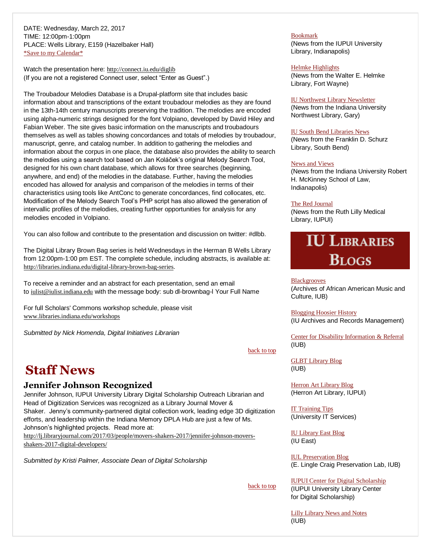DATE: Wednesday, March 22, 2017 TIME: 12:00pm-1:00pm PLACE: Wells Library, E159 (Hazelbaker Hall) [\\*Save to my Calendar\\*](http://www.indiana.edu/~libpers/LIBNEWS-Calendar/DLBB_3_22.ics)

Watch the presentation here: <http://connect.iu.edu/diglib> (If you are not a registered Connect user, select "Enter as Guest".)

The Troubadour Melodies Database is a Drupal-platform site that includes basic information about and transcriptions of the extant troubadour melodies as they are found in the 13th-14th century manuscripts preserving the tradition. The melodies are encoded using alpha-numeric strings designed for the font Volpiano, developed by David Hiley and Fabian Weber. The site gives basic information on the manuscripts and troubadours themselves as well as tables showing concordances and totals of melodies by troubadour, manuscript, genre, and catalog number. In addition to gathering the melodies and information about the corpus in one place, the database also provides the ability to search the melodies using a search tool based on Jan Koláček's original Melody Search Tool, designed for his own chant database, which allows for three searches (beginning, anywhere, and end) of the melodies in the database. Further, having the melodies encoded has allowed for analysis and comparison of the melodies in terms of their characteristics using tools like AntConc to generate concordances, find collocates, etc. Modification of the Melody Search Tool's PHP script has also allowed the generation of intervallic profiles of the melodies, creating further opportunities for analysis for any melodies encoded in Volpiano.

You can also follow and contribute to the presentation and discussion on twitter: #dlbb.

The Digital Library Brown Bag series is held Wednesdays in the Herman B Wells Library from 12:00pm-1:00 pm EST. The complete schedule, including abstracts, is available at: <http://libraries.indiana.edu/digital-library-brown-bag-series>.

To receive a reminder and an abstract for each presentation, send an email to [iulist@iulist.indiana.edu](mailto:iulist@iulist.indiana.edu) with the message body: sub dl-brownbag-l Your Full Name

For full Scholars' Commons workshop schedule, please visit [www.libraries.indiana.edu/workshops](http://www.libraries.indiana.edu/workshops)

*Submitted by Nick Homenda, Digital Initiatives Librarian*

back to top

back to top

# <span id="page-1-0"></span>**Staff News**

### **Jennifer Johnson Recognized**

Jennifer Johnson, IUPUI University Library Digital Scholarship Outreach Librarian and Head of Digitization Services was recognized as a Library Journal Mover & Shaker. Jenny's community-partnered digital collection work, leading edge 3D digitization efforts, and leadership within the Indiana Memory DPLA Hub are just a few of Ms. Johnson's highlighted projects. Read more at:

[http://lj.libraryjournal.com/2017/03/people/movers-shakers-2017/jennifer-johnson-movers](http://lj.libraryjournal.com/2017/03/people/movers-shakers-2017/jennifer-johnson-movers-shakers-2017-digital-developers/)[shakers-2017-digital-developers/](http://lj.libraryjournal.com/2017/03/people/movers-shakers-2017/jennifer-johnson-movers-shakers-2017-digital-developers/)

*Submitted by Kristi Palmer, Associate Dean of Digital Scholarship*

Bookmark (News from the IUPUI University Library, Indianapolis)

### [Helmke Highlights](http://library.ipfw.edu/about/news/)

(News from the Walter E. Helmke Library, Fort Wayne)

#### [IU Northwest Library Newsletter](http://www.iun.edu/~libnewsn/news_archives.shtml)

(News from the Indiana University Northwest Library, Gary)

### [IU South Bend Libraries News](https://www.iusb.edu/library/about/newsevents/newsletter/)

(News from the Franklin D. Schurz Library, South Bend)

### [News and Views](http://mckinneylaw.iu.edu/library/library-news/index.html)

(News from the Indiana University Robert H. McKinney School of Law, Indianapolis)

#### [The Red Journal](http://eepurl.com/beUgND)

(News from the Ruth Lilly Medical Library, IUPUI)

# **IU LIBRARIES BLOGS**

**[Blackgrooves](http://www.blackgrooves.org/)** 

(Archives of African American Music and Culture, IUB)

[Blogging Hoosier History](https://blogs.libraries.indiana.edu/iubarchives/) (IU Archives and Records Management)

[Center for Disability Information & Referral](http://cedir.blogspot.com/) (IUB)

[GLBT Library Blog](https://blogs.libraries.indiana.edu/glbtlibrary/) (IUB)

[Herron Art Library Blog](http://herronartlibrary.blogspot.com/) (Herron Art Library, IUPUI)

[IT Training Tips](http://ittrainingtips.iu.edu/) (University IT Services)

[IU Library East Blog](http://iue.edu/blogs/library/2014/06/02/education-questions/) (IU East)

[IUL Preservation Blog](https://blogs.libraries.indiana.edu/craiglab/) (E. Lingle Craig Preservation Lab, IUB)

[IUPUI Center for Digital Scholarship](http://ulib.iupui.edu/digitalscholarship) (IUPUI University Library Center for Digital Scholarship)

[Lilly Library News and Notes](http://www.indiana.edu/~liblilly/blog/) (IUB)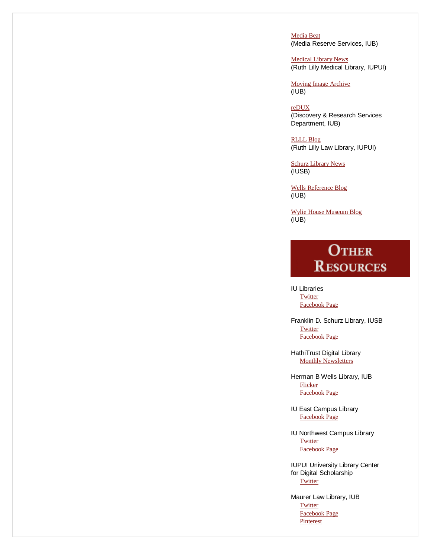[Media Beat](https://blogs.libraries.indiana.edu/mediabeat/) (Media Reserve Services, IUB)

[Medical Library News](http://library.medicine.iu.edu/blogs/library-news-blog) (Ruth Lilly Medical Library, IUPUI)

[Moving Image Archive](https://blogs.libraries.indiana.edu/filmarch/) (IUB)

[reDUX](https://blogs.libraries.indiana.edu/redux/) (Discovery & Research Services Department, IUB)

[RLLL Blog](http://www.rlllblog.com/) (Ruth Lilly Law Library, IUPUI)

[Schurz Library News](https://www.iusb.edu/library/blog/) (IUSB)

[Wells Reference Blog](https://blogs.libraries.indiana.edu/ref/) (IUB)

[Wylie House Museum Blog](https://blogs.libraries.indiana.edu/wyliehouse/) (IUB)

# **OTHER RESOURCES**

IU Libraries **[Twitter](https://twitter.com/iulibraries?ref_src=twsrc%5Egoogle%7Ctwcamp%5Eserp%7Ctwgr%5Eauthor)** [Facebook Page](http://www.facebook.com/pages/IU-Libraries/237699996274633)

Franklin D. Schurz Library, IUSB **[Twitter](https://twitter.com/SchurzLibrary)** [Facebook Page](http://www.facebook.com/home.php#%21/pages/South-Bend-IN/Franklin-D-Schurz-Library/115268695119)

HathiTrust Digital Library [Monthly Newsletters](http://www.hathitrust.org/updates)

Herman B Wells Library, IUB [Flicker](http://www.flickr.com/photos/wellslibrary/) [Facebook Page](http://www.facebook.com/hermanbwells)

IU East Campus Library [Facebook Page](http://www.facebook.com/iuelibrary)

IU Northwest Campus Library **[Twitter](https://twitter.com/SchurzLibrary)** [Facebook Page](https://www.facebook.com/iunlibrary)

IUPUI University Library Center for Digital Scholarship **[Twitter](https://twitter.com/IUPUIDigSchol)** 

Maurer Law Library, IUB **[Twitter](https://twitter.com/IUMaurerLawLib)**  [Facebook Page](https://www.facebook.com/Indiana-University-Maurer-School-of-Law-351672842904/) **[Pinterest](http://pinterest.com/iumaurerlawlib/)**